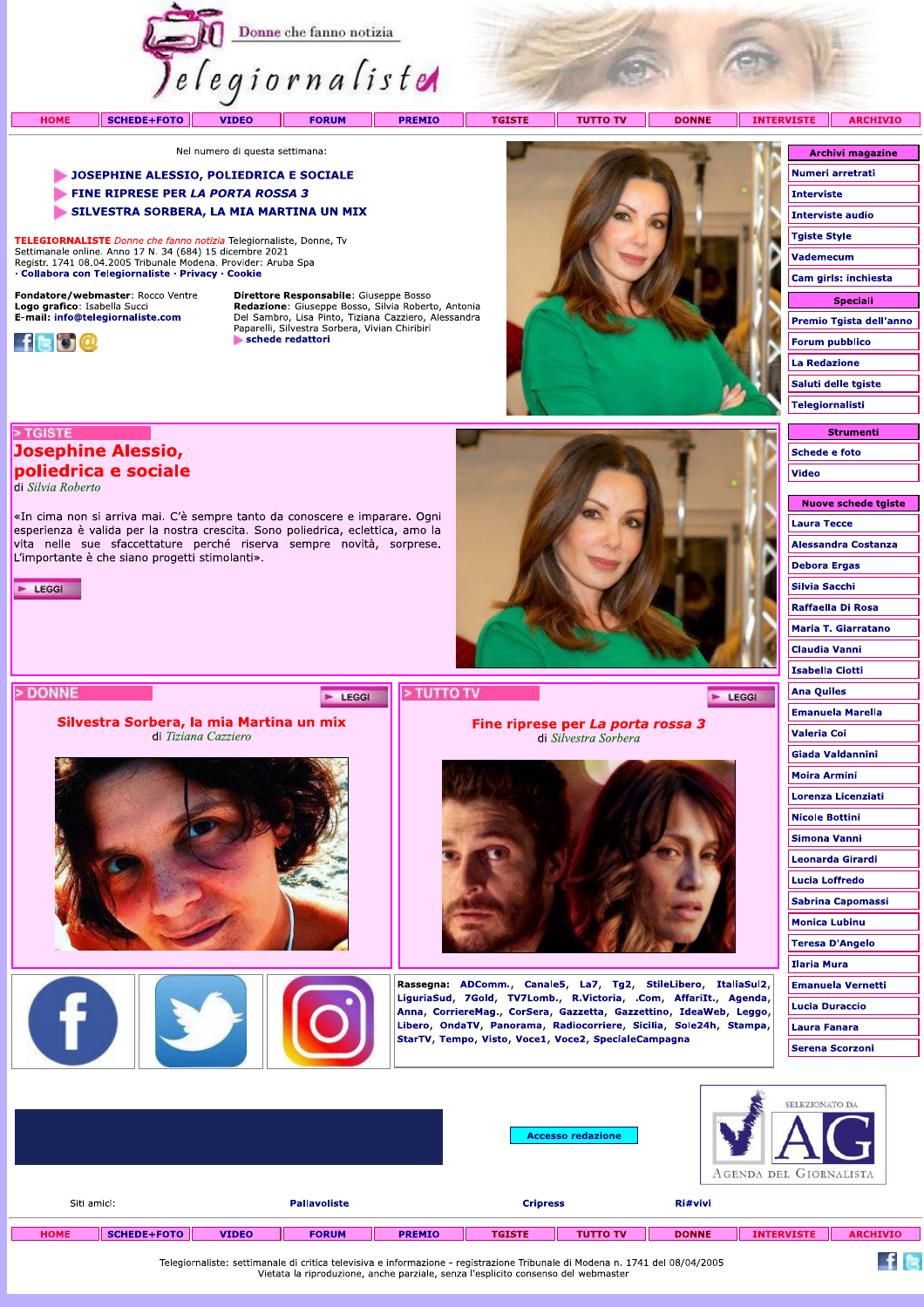

 $\Box\Gamma$ 

**TUTTO TV** 

DONNE INTERVISTE

 $\blacktriangleright$  LEGGI

**ARCHIVIO** 

Nel numero di questa settimana:

#### JOSEPHINE ALESSIO, POLIEDRICA E SOCIALE

- FINE RIPRESE PER LA PORTA ROSSA 3
- SILVESTRA SORBERA, LA MIA MARTINA UN MIX

«In cima non si arriva mai. C'è sempre tanto da conoscere e imparare. Ogni esperienza è valida per la nostra crescita. Sono poliedrica, eclettica, amo la vita nelle sue sfaccettature perché riserva sempre novità, sorprese.

Silvestra Sorbera, la mia Martina un mix

di Tiziana Cazziero

F

TELEGIORNALISTE Donne che fanno notizia Telegiornaliste, Donne, Tv Settimanale online. Anno 17 N. 34 (684) 15 dicembre 2021<br>Registr. 1741 08.04.2005 Tribunale Modena. Provider: Aruba Spa · Collabora con Telegiornaliste · Privacy · Cookie

Fondatore/webmaster: Rocco Ventre Logo grafico: Isabella Succi<br>E-mail: info@telegiornaliste.com

**Josephine Alessio,** poliedrica e sociale

L'importante è che siano progetti stimolanti».



> TGISTE

 $\blacktriangleright$  LEGGI

> DONNE

di Silvia Roberto

Direttore Responsabile: Giuseppe Bosso Acceleration Consequence Consequence Consequence Consequence Consequence Del Sambro, Lisa Pinto, Tiziana Cazziero, Alessandra Paparelli, Silvestra Sorbera, Vivian Chiribiri schede redattori

E LEGGI



Fine riprese per La porta rossa 3

di Silvestra Sorbera

Rassegna: ADComm., Canale5, La7, Tg2, StileLibero, ItaliaSul2, LiguriaSud, 7Gold, TV7Lomb., R.Victoria, .Com, AffariIt., Agenda,

Anna, CorriereMag., CorSera, Gazzetta, Gazzettino, IdeaWeb, Leggo, Libero, OndaTV, Panorama, Radiocorriere, Sicilia, Sole24h, Stampa,

StarTV, Tempo, Visto, Voce1, Voce2, SpecialeCampagna

| <b>Archivi magazine</b> |
|-------------------------|
| Numeri arretrati        |
| Interviste              |
| Interviste audio        |
| <b>Tgiste Style</b>     |
| Vademecum               |
| Cam girls: inchiesta    |
| <b>Speciali</b>         |
| Premio Tgista dell'anno |
| <b>Forum pubblico</b>   |
| <b>La Redazione</b>     |
| Saluti delle tgiste     |
| Telegiornalisti         |

| <b>Schede e foto</b>       |
|----------------------------|
|                            |
| <b>Video</b>               |
|                            |
| <b>Nuove schede tgiste</b> |
| <b>Laura Tecce</b>         |
| <b>Alessandra Costanza</b> |
| <b>Debora Ergas</b>        |
| Silvia Sacchi              |
| Raffaella Di Rosa          |
| <b>Maria T. Giarratano</b> |
| <b>Claudia Vanni</b>       |
| <b>Isabella Ciotti</b>     |
| <b>Ana Quiles</b>          |
| <b>Emanuela Marella</b>    |
| <b>Valeria Coi</b>         |
| <b>Giada Valdannini</b>    |
| <b>Moira Armini</b>        |
| Lorenza Licenziati         |
| <b>Nicole Bottini</b>      |
| Simona Vanni               |
| <b>Leonarda Girardi</b>    |
| <b>Lucia Loffredo</b>      |
| <b>Sabrina Capomassi</b>   |
| <b>Monica Lubinu</b>       |
| <b>Teresa D'Angelo</b>     |
| <b>Ilaria Mura</b>         |
| <b>Emanuela Vernetti</b>   |
| <b>Lucia Duraccio</b>      |
| Laura Fanara               |
| <b>Serena Scorzoni</b>     |
|                            |

|                                    | SELEZIONATO DA<br><b>Accesso redazione</b><br>AGENDA DEL GIORNALISTA                                                         |              |              |                 |               |                 |              |                   |                 |  |
|------------------------------------|------------------------------------------------------------------------------------------------------------------------------|--------------|--------------|-----------------|---------------|-----------------|--------------|-------------------|-----------------|--|
| Siti amici:<br><b>Pallavoliste</b> |                                                                                                                              |              |              | <b>Cripress</b> |               | Ri#vivi         |              |                   |                 |  |
| <b>HOME</b>                        | <b>SCHEDE+FOTO</b>                                                                                                           | <b>VIDEO</b> | <b>FORUM</b> | <b>PREMIO</b>   | <b>TGISTE</b> | <b>TUTTO TV</b> | <b>DONNE</b> | <b>INTERVISTE</b> | <b>ARCHIVIO</b> |  |
|                                    | Telegiornaliste: settimanale di critica televisiva e informazione - registrazione Tribunale di Modena n. 1741 del 08/04/2005 |              |              |                 |               |                 |              |                   |                 |  |

> TUTTO TV

Telegiornaliste: settimanale di critica televisiva e informazione - registrazione Tribunale di Modena n. 1741 del 08/04/2005<br>Vietata la riproduzione, anche parziale, senza l'esplicito consenso del webmaster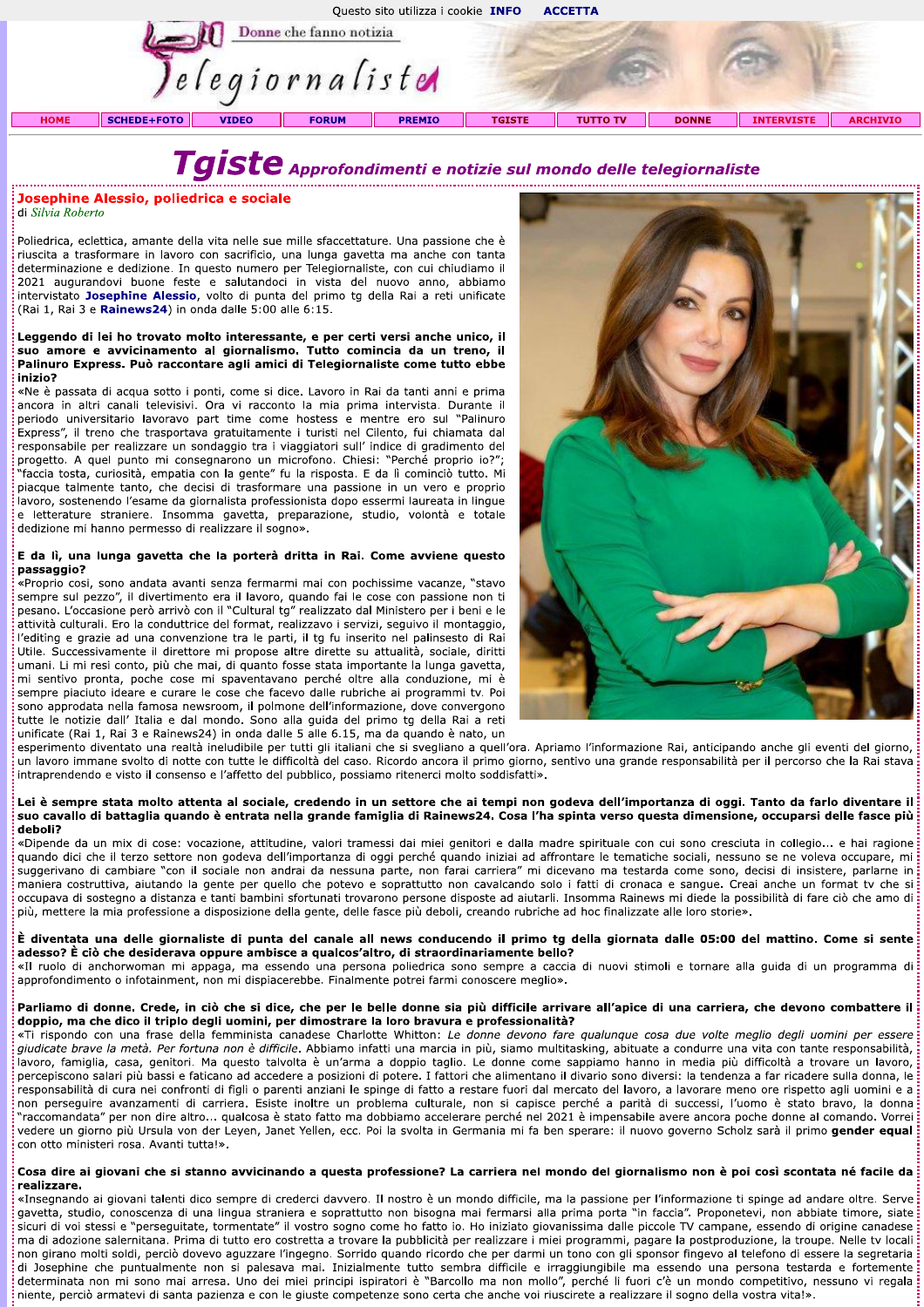

# Tgiste Approfondimenti e notizie sul mondo delle telegiornaliste

### Josephine Alessio, poliedrica e sociale

di Silvia Roberto

Poliedrica, eclettica, amante della vita nelle sue mille sfaccettature. Una passione che è riuscita a trasformare in lavoro con sacrificio, una lunga gavetta ma anche con tanta determinazione e dedizione. In questo numero per Telegiornaliste, con cui chiudiamo il 2021 augurandovi buone feste e salutandoci in vista del nuovo anno, abbiamo intervistato Josephine Alessio, volto di punta del primo tg della Rai a reti unificate (Rai 1, Rai 3 e Rainews24) in onda dalle 5:00 alle 6:15.

#### Leggendo di lei ho trovato molto interessante, e per certi versi anche unico, il suo amore e avvicinamento al giornalismo. Tutto comincia da un treno, il Palinuro Express. Può raccontare agli amici di Telegiornaliste come tutto ebbe inizio?

«Ne è passata di acqua sotto i ponti, come si dice. Lavoro in Rai da tanti anni e prima ancora in altri canali televisivi. Ora vi racconto la mia prima intervista. Durante il periodo universitario lavoravo part time come hostess e mentre ero sul "Palinuro Express", il treno che trasportava gratuitamente i turisti nel Cilento, fui chiamata dal responsabile per realizzare un sondaggio tra i viaggiatori sull' indice di gradimento del progetto. A quel punto mi consegnarono un microfono. Chiesi: "Perché proprio io?"; faccia tosta, curiosità, empatia con la gente" fu la risposta. E da lì cominciò tutto. Mi piacque talmente tanto, che decisi di trasformare una passione in un vero e proprio .<br>lavoro, sostenendo l'esame da giornalista professionista dopo essermi laureata in lingue e letterature straniere. Insomma gavetta, preparazione, studio, volontà e totale dedizione mi hanno permesso di realizzare il sogno».

#### E da lì, una lunga gavetta che la porterà dritta in Rai. Come avviene questo passaggio?

.<br>«Proprio cosi, sono andata avanti senza fermarmi mai con pochissime vacanze, "stavo sempre sul pezzo", il divertimento era il lavoro, quando fai le cose con passione non ti pesano. L'occasione però arrivò con il "Cultural tg" realizzato dal Ministero per i beni e le attività culturali. Ero la conduttrice del format, realizzavo i servizi, seguivo il montaggio, l'editing e grazie ad una convenzione tra le parti, il tg fu inserito nel palinsesto di Rai Utile. Successivamente il direttore mi propose altre dirette su attualità, sociale, diritti umani. Li mi resi conto, più che mai, di quanto fosse stata importante la lunga gavetta, mi sentivo pronta, poche cose mi spaventavano perché oltre alla conduzione, mi è sempre piaciuto ideare e curare le cose che facevo dalle rubriche ai programmi tv. Poi sono approdata nella famosa newsroom, il polmone dell'informazione, dove convergono tutte le notizie dall' Italia e dal mondo. Sono alla quida del primo to della Rai a reti unificate (Rai 1, Rai 3 e Rainews24) in onda dalle 5 alle 6.15, ma da quando è nato, un



esperimento diventato una realtà ineludibile per tutti gli italiani che si svegliano a quell'ora. Apriamo l'informazione Rai, anticipando anche gli eventi del giorno, un lavoro immane svolto di notte con tutte le difficoltà del caso. Ricordo ancora il primo giorno, sentivo una grande responsabilità per il percorso che la Rai stava intraprendendo e visto il consenso e l'affetto del pubblico, possiamo ritenerci molto soddisfatti».

#### Lei è sempre stata molto attenta al sociale, credendo in un settore che ai tempi non godeva dell'importanza di oggi. Tanto da farlo diventare il suo cavallo di battaglia quando è entrata nella grande famiglia di Rainews24. Cosa l'ha spinta verso questa dimensione, occuparsi delle fasce più deboli?

«Dipende da un mix di cose: vocazione, attitudine, valori tramessi dai miei genitori e dalla madre spirituale con cui sono cresciuta in collegio... e hai ragione quando dici che il terzo settore non godeva dell'importanza di oggi perché quando iniziai ad affrontare le tematiche sociali, nessuno se ne voleva occupare, mi suggerivano di cambiare "con il sociale non andrai da nessuna parte, non farai carriera" mi dicevano ma testarda come sono, decisi di insistere, parlarne in maniera costruttiva, aiutando la gente per quello che potevo e soprattutto non cavalcando solo i fatti di cronaca e sangue. Creai anche un format tv che si occupava di sostegno a distanza e tanti bambini sfortunati trovarono persone disposte ad aiutarli. Insomma Rainews mi diede la possibilità di fare ciò che amo di più, mettere la mia professione a disposizione della gente, delle fasce più deboli, creando rubriche ad hoc finalizzate alle loro storie».

#### È diventata una delle giornaliste di punta del canale all news conducendo il primo tg della giornata dalle 05:00 del mattino. Come si sente adesso? È ciò che desiderava oppure ambisce a qualcos'altro, di straordinariamente bello?

«Il ruolo di anchorwoman mi appaga, ma essendo una persona poliedrica sono sempre a caccia di nuovi stimoli e tornare alla guida di un programma di approfondimento o infotainment, non mi dispiacerebbe. Finalmente potrei farmi conoscere meglio».

# Parliamo di donne. Crede, in ciò che si dice, che per le belle donne sia più difficile arrivare all'apice di una carriera, che devono combattere il doppio, ma che dico il triplo degli uomini, per dimostrare la loro bravura e professionalità?<br>«Ti rispondo con una frase della femminista canadese Charlotte Whitton: Le donne devono fare qualunque cosa due volte meglio deg

giudicate brave la metà. Per fortuna non è difficile. Abbiamo infatti una marcia in più, siamo multitasking, abituate a condurre una vita con tante responsabilità, lavoro, famiglia, casa, genitori. Ma questo talvolta è un'arma a doppio taglio. Le donne come sappiamo hanno in media più difficoltà a trovare un lavoro, percepiscono salari più bassi e faticano ad accedere a posizioni di potere. I fattori che alimentano il divario sono diversi: la tendenza a far ricadere sulla donna, le .<br>responsabilità di cura nei confronti di figli o parenti anziani le spinge di fatto a restare fuori dal mercato del lavoro, a lavorare meno ore rispetto agli uomini e a non perseguire avanzamenti di carriera. Esiste inoltre un problema culturale, non si capisce perché a parità di successi, l'uomo è stato bravo, la donna raccomandata" per non dire altro... qualcosa è stato fatto ma dobbiamo accelerare perché nel 2021 è impensabile avere ancora poche donne al comando. Vorrei vedere un giorno più Ursula von der Leyen, Janet Yellen, ecc. Poi la svolta in Germania mi fa ben sperare: il nuovo governo Scholz sarà il primo gender equal con otto ministeri rosa. Avanti tutta!».

#### Cosa dire ai giovani che si stanno avvicinando a questa professione? La carriera nel mondo del giornalismo non è poi così scontata né facile da realizzare.

«Insegnando ai giovani talenti dico sempre di crederci davvero. Il nostro è un mondo difficile, ma la passione per l'informazione ti spinge ad andare oltre. Serve gavetta, studio, conoscenza di una lingua straniera e soprattutto non bisogna mai fermarsi alla prima porta "in faccia". Proponetevi, non abbiate timore, siate sicuri di voi stessi e "perseguitate, tormentate" il vostro sogno come ho fatto io. Ho iniziato giovanissima dalle piccole TV campane, essendo di origine canadese ma di adozione salernitana. Prima di tutto ero costretta a trovare la pubblicità per realizzare i miei programmi, pagare la postproduzione, la troupe. Nelle tv locali non girano molti soldi, perciò dovevo aguzzare l'ingegno. Sorrido quando ricordo che per darmi un tono con gli sponsor fingevo al telefono di essere la segretaria di Josephine che puntualmente non si palesava mai. Inizialmente tutto sembra difficile e irraggiungibile ma essendo una persona testarda e fortemente determinata non mi sono mai arresa. Uno dei miei principi ispiratori è "Barcollo ma non mollo", perché li fuori c'è un mondo competitivo, nessuno vi regala niente, perciò armatevi di santa pazienza e con le giuste competenze sono certa che anche voi riuscirete a realizzare il sogno della vostra vita!».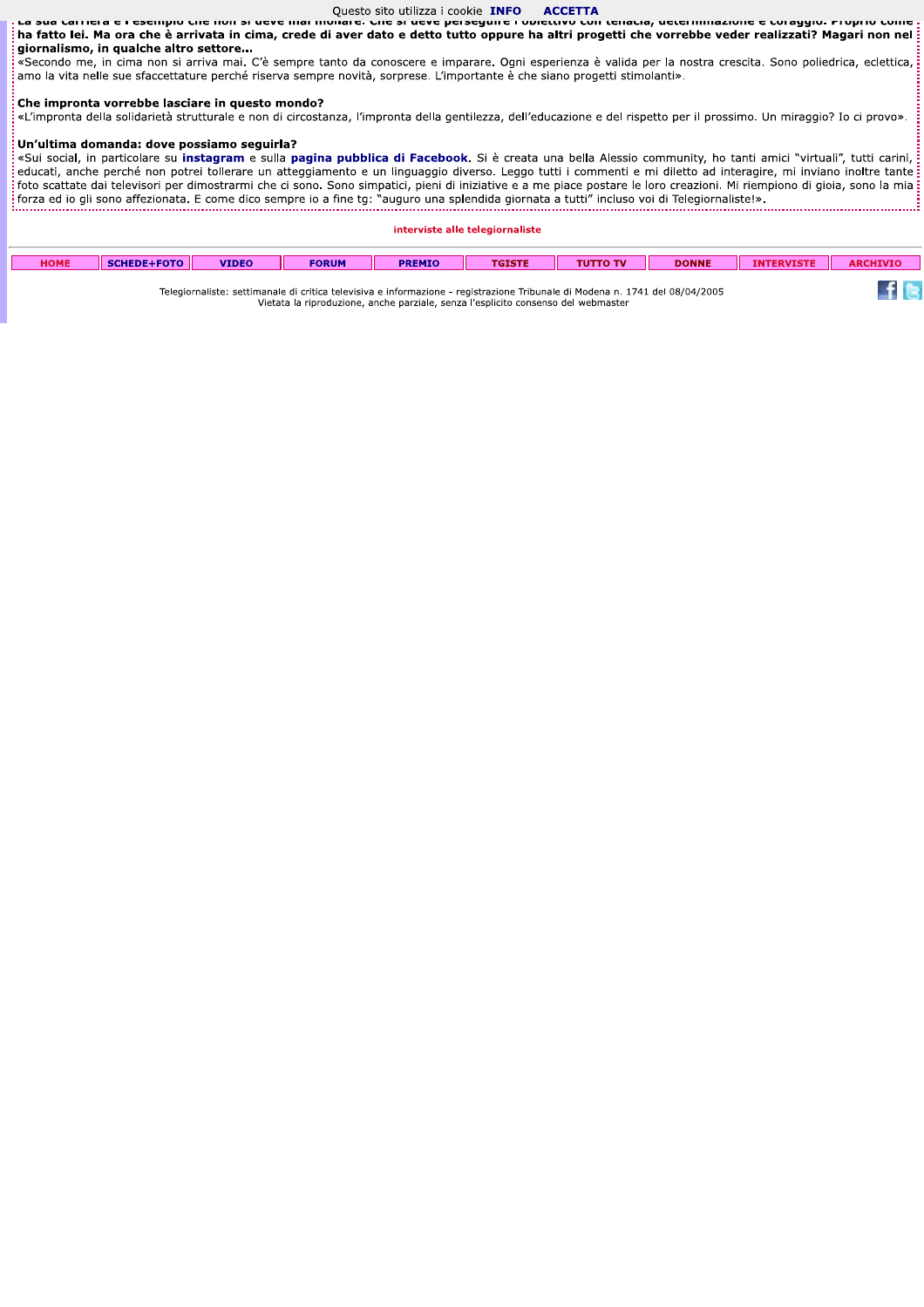#### Questo sito utilizza i cookie INFO **ACCETTA**

כוווטוט כווכ ווטוו si ucvc Juai c. ha fatto lei. Ma ora che è arrivata in cima, crede di aver dato e detto tutto oppure ha altri progetti che vorrebbe veder realizzati? Magari non nel giornalismo, in qualche altro settore...

«Secondo me, in cima non si arriva mai. C'è sempre tanto da conoscere e imparare. Ogni esperienza è valida per la nostra crescita. Sono poliedrica, eclettica, :<br>amo la vita nelle sue sfaccettature perché riserva sempre novità, sorprese. L'importante è che siano progetti stimolanti».

# Che impronta vorrebbe lasciare in questo mondo?

«L'impronta della solidarietà strutturale e non di circostanza, l'impronta della gentilezza, dell'educazione e del rispetto per il prossimo. Un miraggio? Io ci provo».

#### Un'ultima domanda: dove possiamo seguirla?

«Sui social, in particolare su instagram e sulla pagina pubblica di Facebook. Si è creata una bella Alessio community, ho tanti amici "virtuali", tutti carini, .<br>educati, anche perché non potrei tollerare un atteggiamento e un linguaggio diverso. Leggo tutti i commenti e mi diletto ad interagire, mi inviano inoltre tante: and the present for policy conclude an acceggandate of an imgaaggio averso. Eeggo cate if comment of inflated aa increasing, millioned interval interval interval interval interval interval interval interval interval interv

#### interviste alle telegiornaliste

| <b>HOME</b>                                                                                                                  | SCHEDE+FOTO | <b>VIDEO</b> | <b>FORUM</b> | <b>PREMIO</b> | TGISTE | <b>THITTO TV</b> | <b>DONNE</b> | <b>INTERVISTE</b> | <b>ARCHIVIO</b> |
|------------------------------------------------------------------------------------------------------------------------------|-------------|--------------|--------------|---------------|--------|------------------|--------------|-------------------|-----------------|
| Telegiornaliste: settimanale di critica televisiva e informazione - registrazione Tribunale di Modena n. 1741 del 08/04/2005 |             |              |              |               |        |                  |              |                   |                 |

Telegiornaliste: settimanale di critica televisiva e informazione - registrazione Tribunale di Modena n. 1741 del 08/04/2005 Vietata la riproduzione, anche parziale, senza l'esplicito consenso del webmaster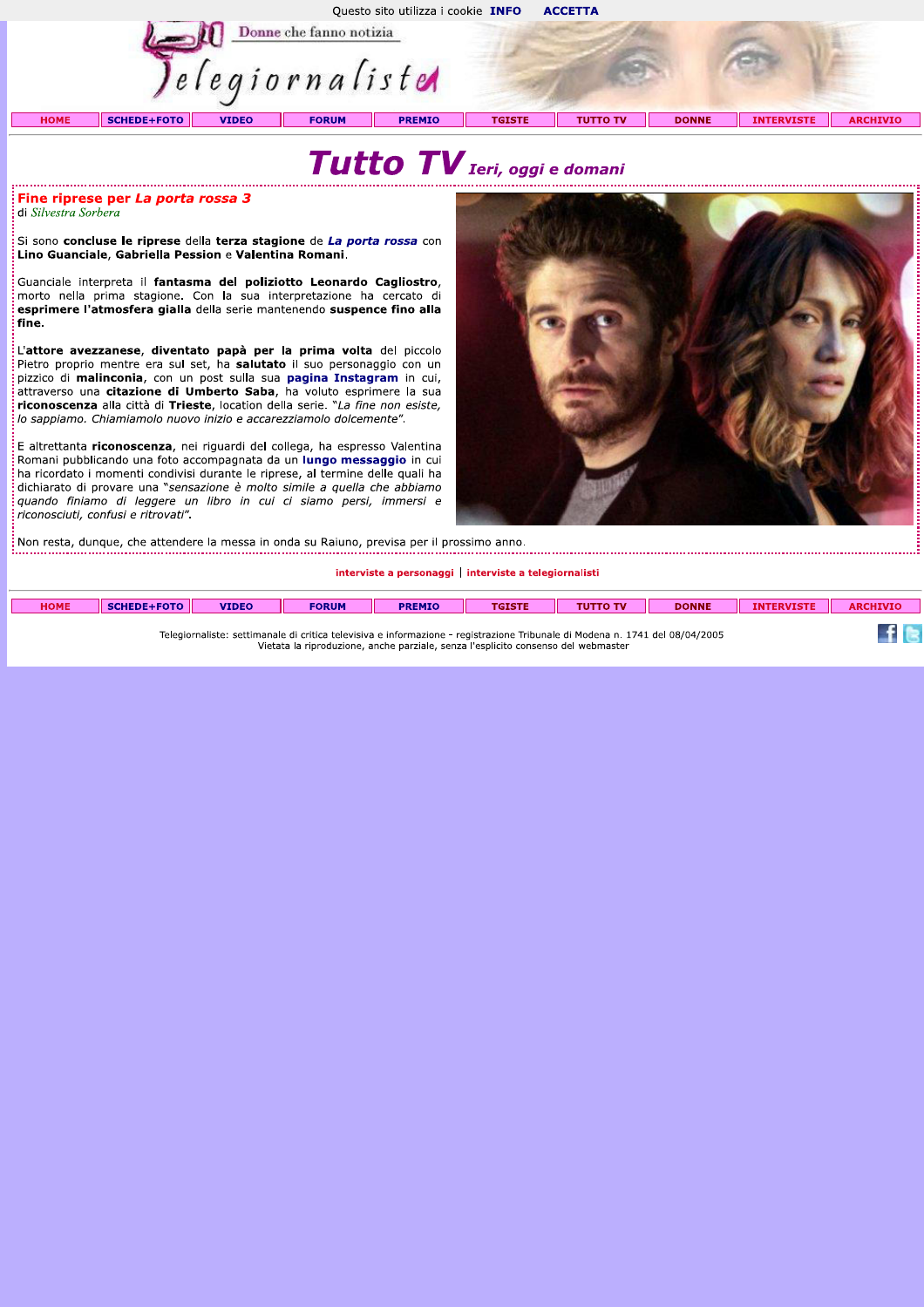Questo sito utilizza i cookie INFO **ACCETTA** 



SCHEDE+FOTO **HOME** 

# Tutto TV Ieri, oggi e domani

**TGISTE** 

#### Fine riprese per La porta rossa 3 di Silvestra Sorbera

.<br>Si sono **concluse le riprese** della terza stagione de La porta rossa con Lino Guanciale, Gabriella Pession e Valentina Romani.

Guanciale interpreta il fantasma del poliziotto Leonardo Cagliostro, morto nella prima stagione. Con la sua interpretazione ha cercato di esprimere l'atmosfera gialla della serie mantenendo suspence fino alla fine.

L'attore avezzanese, diventato papà per la prima volta del piccolo Pietro proprio mentre era sul set, ha salutato il suo personaggio con un pizzico di malinconia, con un post sulla sua pagina Instagram in cui, attraverso una citazione di Umberto Saba, ha voluto esprimere la sua riconoscenza alla città di Trieste, location della serie. "La fine non esiste, lo sappiamo. Chiamiamolo nuovo inizio e accarezziamolo dolcemente".

E altrettanta riconoscenza, nei riguardi del collega, ha espresso Valentina Romani pubblicando una foto accompagnata da un lungo messaggio in cui ha ricordato i momenti condivisi durante le riprese, al termine delle quali ha dichiarato di provare una "sensazione è molto simile a quella che abbiamo quando finiamo di leggere un libro in cui ci siamo persi, immersi e riconosciuti, confusi e ritrovati".



**DONNE** 

**INTERVISTE** 

**ARCHIVIO** 

**TUTTO TV** 

 $\frac{1}{3}$ Non resta, dunque, che attendere la messa in onda su Raiuno, previsa per il prossimo anno. 

#### interviste a personaggi | interviste a telegiornalisti

| <b>HOME</b>                                                                                                                  | SCHEDE+FOTO IL | <b>VIDEO</b> | <b>FORUM</b> | <b>PREMIO</b> | <b>TGISTE</b> | <b>TUTTO TV</b> | <b>DONNE</b> | <b>INTERVISTE</b> | <b>ARCHIVIO</b> |
|------------------------------------------------------------------------------------------------------------------------------|----------------|--------------|--------------|---------------|---------------|-----------------|--------------|-------------------|-----------------|
| Telegiornaliste: settimanale di critica televisiva e informazione - registrazione Tribunale di Modena n. 1741 del 08/04/2005 |                |              |              |               |               |                 |              |                   |                 |

legiornaliste: settimanale di critica televisiva e informazione - registrazione Tribunale di Modena n. 1<br>Vietata la riproduzione, anche parziale, senza l'esplicito consenso del webmaster